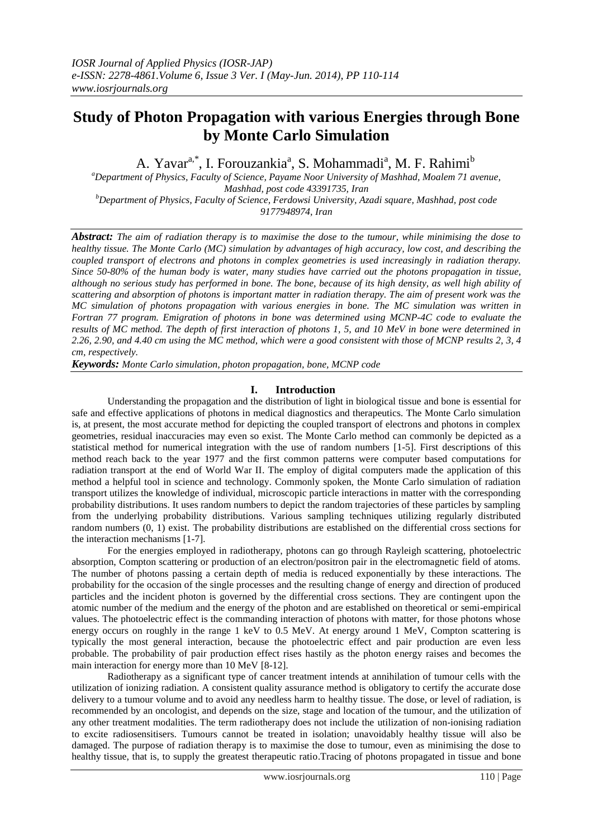# **Study of Photon Propagation with various Energies through Bone by Monte Carlo Simulation**

A. Yavar<sup>a,\*</sup>, I. Forouzankia<sup>a</sup>, S. Mohammadi<sup>a</sup>, M. F. Rahimi<sup>b</sup>

*<sup>a</sup>Department of Physics, Faculty of Science, Payame Noor University of Mashhad, Moalem 71 avenue, Mashhad, post code 43391735, Iran <sup>b</sup>Department of Physics, Faculty of Science, Ferdowsi University, Azadi square, Mashhad, post code* 

*9177948974, Iran*

*Abstract: The aim of radiation therapy is to maximise the dose to the tumour, while minimising the dose to healthy tissue. The Monte Carlo (MC) simulation by advantages of high accuracy, low cost, and describing the coupled transport of electrons and photons in complex geometries is used increasingly in radiation therapy. Since 50-80% of the human body is water, many studies have carried out the photons propagation in tissue, although no serious study has performed in bone. The bone, because of its high density, as well high ability of scattering and absorption of photons is important matter in radiation therapy. The aim of present work was the MC simulation of photons propagation with various energies in bone. The MC simulation was written in Fortran 77 program. Emigration of photons in bone was determined using MCNP-4C code to evaluate the results of MC method. The depth of first interaction of photons 1, 5, and 10 MeV in bone were determined in 2.26, 2.90, and 4.40 cm using the MC method, which were a good consistent with those of MCNP results 2, 3, 4 cm, respectively.*

*Keywords: Monte Carlo simulation, photon propagation, bone, MCNP code*

## **I. Introduction**

Understanding the propagation and the distribution of light in biological tissue and bone is essential for safe and effective applications of photons in medical diagnostics and therapeutics. The Monte Carlo simulation is, at present, the most accurate method for depicting the coupled transport of electrons and photons in complex geometries, residual inaccuracies may even so exist. The Monte Carlo method can commonly be depicted as a statistical method for numerical integration with the use of random numbers [1-5]. First descriptions of this method reach back to the year 1977 and the first common patterns were computer based computations for radiation transport at the end of World War II. The employ of digital computers made the application of this method a helpful tool in science and technology. Commonly spoken, the Monte Carlo simulation of radiation transport utilizes the knowledge of individual, microscopic particle interactions in matter with the corresponding probability distributions. It uses random numbers to depict the random trajectories of these particles by sampling from the underlying probability distributions. Various sampling techniques utilizing regularly distributed random numbers (0, 1) exist. The probability distributions are established on the differential cross sections for the interaction mechanisms [1-7].

For the energies employed in radiotherapy, photons can go through Rayleigh scattering, photoelectric absorption, Compton scattering or production of an electron/positron pair in the electromagnetic field of atoms. The number of photons passing a certain depth of media is reduced exponentially by these interactions. The probability for the occasion of the single processes and the resulting change of energy and direction of produced particles and the incident photon is governed by the differential cross sections. They are contingent upon the atomic number of the medium and the energy of the photon and are established on theoretical or semi-empirical values. The photoelectric effect is the commanding interaction of photons with matter, for those photons whose energy occurs on roughly in the range 1 keV to 0.5 MeV. At energy around 1 MeV, Compton scattering is typically the most general interaction, because the photoelectric effect and pair production are even less probable. The probability of pair production effect rises hastily as the photon energy raises and becomes the main interaction for energy more than 10 MeV [8-12].

Radiotherapy as a significant type of cancer treatment intends at annihilation of tumour cells with the utilization of ionizing radiation. A consistent quality assurance method is obligatory to certify the accurate dose delivery to a tumour volume and to avoid any needless harm to healthy tissue. The dose, or level of radiation, is recommended by an oncologist, and depends on the size, stage and location of the tumour, and the utilization of any other treatment modalities. The term radiotherapy does not include the utilization of non-ionising radiation to excite radiosensitisers. Tumours cannot be treated in isolation; unavoidably healthy tissue will also be damaged. The purpose of radiation therapy is to maximise the dose to tumour, even as minimising the dose to healthy tissue, that is, to supply the greatest therapeutic ratio.Tracing of photons propagated in tissue and bone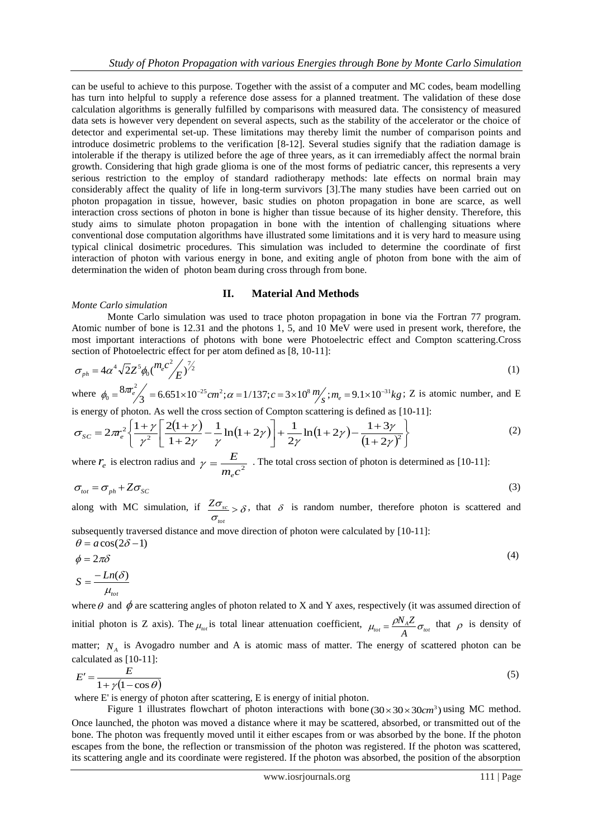can be useful to achieve to this purpose. Together with the assist of a computer and MC codes, beam modelling has turn into helpful to supply a reference dose assess for a planned treatment. The validation of these dose calculation algorithms is generally fulfilled by comparisons with measured data. The consistency of measured data sets is however very dependent on several aspects, such as the stability of the accelerator or the choice of detector and experimental set-up. These limitations may thereby limit the number of comparison points and introduce dosimetric problems to the verification [8-12]. Several studies signify that the radiation damage is intolerable if the therapy is utilized before the age of three years, as it can irremediably affect the normal brain growth. Considering that high grade glioma is one of the most forms of pediatric cancer, this represents a very serious restriction to the employ of standard radiotherapy methods: late effects on normal brain may considerably affect the quality of life in long-term survivors [3].The many studies have been carried out on photon propagation in tissue, however, basic studies on photon propagation in bone are scarce, as well interaction cross sections of photon in bone is higher than tissue because of its higher density. Therefore, this study aims to simulate photon propagation in bone with the intention of challenging situations where conventional dose computation algorithms have illustrated some limitations and it is very hard to measure using typical clinical dosimetric procedures. This simulation was included to determine the coordinate of first interaction of photon with various energy in bone, and exiting angle of photon from bone with the aim of determination the widen of photon beam during cross through from bone.

#### **II. Material And Methods**

### *Monte Carlo simulation*

Monte Carlo simulation was used to trace photon propagation in bone via the Fortran 77 program. Atomic number of bone is 12.31 and the photons 1, 5, and 10 MeV were used in present work, therefore, the most important interactions of photons with bone were Photoelectric effect and Compton scattering.Cross section of Photoelectric effect for per atom defined as [8, 10-11]:

$$
\sigma_{ph} = 4\alpha^4 \sqrt{2} Z^5 \phi_0 (m_e c^2 / E)^{1/2}
$$
\n(1)  
\nwhere  $\phi_0 = 8m_e^2 / 3 = 6.651 \times 10^{-25} cm^2$ ;  $\alpha = 1/137$ ;  $c = 3 \times 10^8 m / 5$ ;  $m_e = 9.1 \times 10^{-31} kg$ ; Z is atomic number, and E

where  $\phi_0 = \frac{8\pi e^2}{3} = 6.651 \times 10^{-25} cm^2$ ;  $\alpha = 1/137$ ;  $c = 3 \times 10^8 m/s$ ;  $m_e = 9.1 \times 10^{-31} kg$ ; Z is atomic number, and E

is energy of photon. As well the cross section of Compton scattering is defined as [10-11]:  
\n
$$
\sigma_{SC} = 2\pi r_e^2 \left\{ \frac{1+\gamma}{\gamma^2} \left[ \frac{2(1+\gamma)}{1+2\gamma} - \frac{1}{\gamma} \ln(1+2\gamma) \right] + \frac{1}{2\gamma} \ln(1+2\gamma) - \frac{1+3\gamma}{(1+2\gamma)^2} \right\}
$$
\n(2)

where  $r_e$  is electron radius and  $\gamma = \frac{E}{m_e c^2}$ *E e*  $\gamma = \frac{E}{\gamma}$ . The total cross section of photon is determined as [10-11]:

$$
\sigma_{tot} = \sigma_{ph} + Z \sigma_{SC} \tag{3}
$$

along with MC simulation, if  $\frac{2\sigma_{sc}}{\sigma_{sc}} > \delta$  $\frac{Z\sigma_{sc}}{Z} > \delta$ , that  $\delta$  is random number, therefore photon is scattered and *tot*

subsequently traversed distance and move direction of photon were calculated by [10-11]:

$$
\theta = a\cos(2\delta - 1)
$$
  
\n
$$
\phi = 2\pi\delta
$$
  
\n
$$
S = \frac{-Ln(\delta)}{\mu_{tot}}
$$
\n(4)

where  $\theta$  and  $\phi$  are scattering angles of photon related to X and Y axes, respectively (it was assumed direction of initial photon is Z axis). The  $\mu_{tot}$  is total linear attenuation coefficient,  $\mu_{tot} = \frac{\rho N_A Z}{A} \sigma_{tot}$  $\mu_{tot} = \frac{\rho N_A Z}{L} \sigma_{tot}$  that  $\rho$  is density of matter;  $N_A$  is Avogadro number and A is atomic mass of matter. The energy of scattered photon can be calculated as [10-11]:

$$
E' = \frac{E}{1 + \gamma (1 - \cos \theta)}\tag{5}
$$

where E' is energy of photon after scattering, E is energy of initial photon.

Figure 1 illustrates flowchart of photon interactions with bone  $(30 \times 30 \times 30 \text{cm}^3)$  using MC method. Once launched, the photon was moved a distance where it may be scattered, absorbed, or transmitted out of the bone. The photon was frequently moved until it either escapes from or was absorbed by the bone. If the photon escapes from the bone, the reflection or transmission of the photon was registered. If the photon was scattered, its scattering angle and its coordinate were registered. If the photon was absorbed, the position of the absorption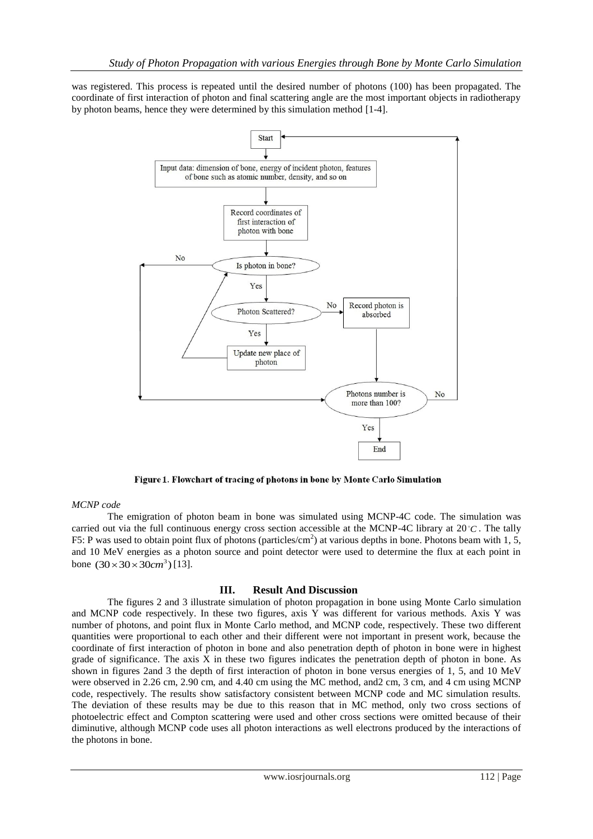was registered. This process is repeated until the desired number of photons (100) has been propagated. The coordinate of first interaction of photon and final scattering angle are the most important objects in radiotherapy by photon beams, hence they were determined by this simulation method [1-4].



Figure 1. Flowchart of tracing of photons in bone by Monte Carlo Simulation

### *MCNP code*

The emigration of photon beam in bone was simulated using MCNP-4C code. The simulation was carried out via the full continuous energy cross section accessible at the MCNP-4C library at  $20^{\circ}C$ . The tally F5: P was used to obtain point flux of photons (particles/cm<sup>2</sup>) at various depths in bone. Photons beam with 1, 5, and 10 MeV energies as a photon source and point detector were used to determine the flux at each point in bone  $(30 \times 30 \times 30 \text{ cm}^3)$  [13].

### **III. Result And Discussion**

The figures 2 and 3 illustrate simulation of photon propagation in bone using Monte Carlo simulation and MCNP code respectively. In these two figures, axis Y was different for various methods. Axis Y was number of photons, and point flux in Monte Carlo method, and MCNP code, respectively. These two different quantities were proportional to each other and their different were not important in present work, because the coordinate of first interaction of photon in bone and also penetration depth of photon in bone were in highest grade of significance. The axis X in these two figures indicates the penetration depth of photon in bone. As shown in figures 2and 3 the depth of first interaction of photon in bone versus energies of 1, 5, and 10 MeV were observed in 2.26 cm, 2.90 cm, and 4.40 cm using the MC method, and2 cm, 3 cm, and 4 cm using MCNP code, respectively. The results show satisfactory consistent between MCNP code and MC simulation results. The deviation of these results may be due to this reason that in MC method, only two cross sections of photoelectric effect and Compton scattering were used and other cross sections were omitted because of their diminutive, although MCNP code uses all photon interactions as well electrons produced by the interactions of the photons in bone.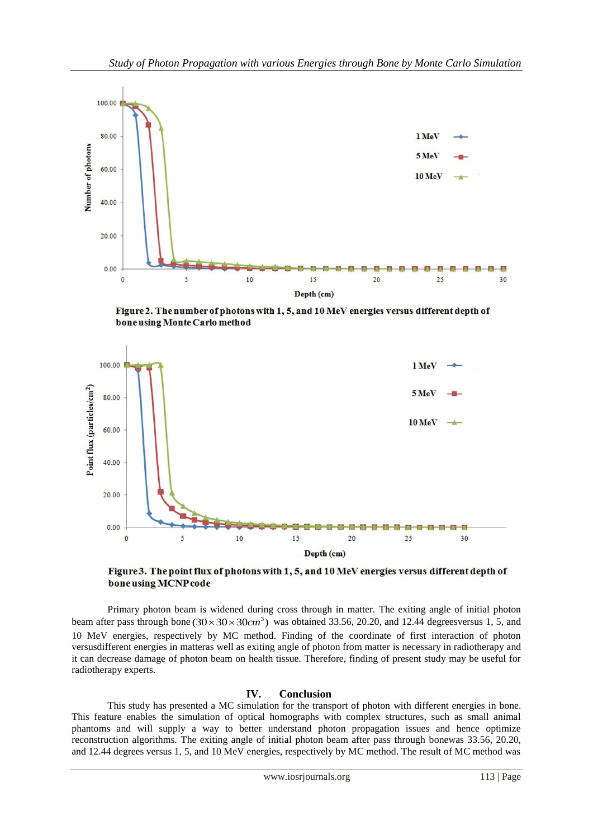

Figure 2. The number of photons with 1, 5, and 10 MeV energies versus different depth of bone using Monte Carlo method



Figure 3. The point flux of photons with 1, 5, and 10 MeV energies versus different depth of bone using MCNP code

Primary photon beam is widened during cross through in matter. The exiting angle of initial photon beam after pass through bone  $(30 \times 30 \times 30 \text{ cm}^3)$  was obtained 33.56, 20.20, and 12.44 degreesversus 1, 5, and 10 MeV energies, respectively by MC method. Finding of the coordinate of first interaction of photon versusdifferent energies in matteras well as exiting angle of photon from matter is necessary in radiotherapy and it can decrease damage of photon beam on health tissue. Therefore, finding of present study may be useful for radiotherapy experts.

## **IV. Conclusion**

This study has presented a MC simulation for the transport of photon with different energies in bone. This feature enables the simulation of optical homographs with complex structures, such as small animal phantoms and will supply a way to better understand photon propagation issues and hence optimize reconstruction algorithms. The exiting angle of initial photon beam after pass through bonewas 33.56, 20.20, and 12.44 degrees versus 1, 5, and 10 MeV energies, respectively by MC method. The result of MC method was